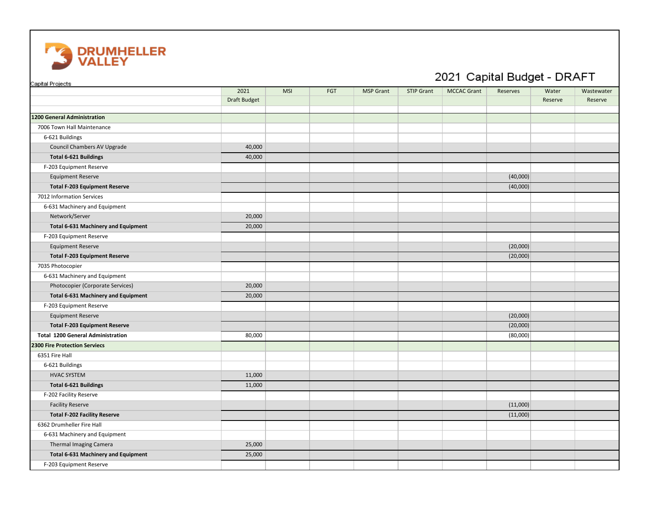

| Capital Projects                           |                     |            |     |                  |                   | 2021 Capital Budget - DRAFT |          |         |            |
|--------------------------------------------|---------------------|------------|-----|------------------|-------------------|-----------------------------|----------|---------|------------|
|                                            | 2021                | <b>MSI</b> | FGT | <b>MSP Grant</b> | <b>STIP Grant</b> | <b>MCCAC Grant</b>          | Reserves | Water   | Wastewater |
|                                            | <b>Draft Budget</b> |            |     |                  |                   |                             |          | Reserve | Reserve    |
| 1200 General Administration                |                     |            |     |                  |                   |                             |          |         |            |
| 7006 Town Hall Maintenance                 |                     |            |     |                  |                   |                             |          |         |            |
| 6-621 Buildings                            |                     |            |     |                  |                   |                             |          |         |            |
| Council Chambers AV Upgrade                | 40,000              |            |     |                  |                   |                             |          |         |            |
| <b>Total 6-621 Buildings</b>               | 40,000              |            |     |                  |                   |                             |          |         |            |
| F-203 Equipment Reserve                    |                     |            |     |                  |                   |                             |          |         |            |
| <b>Equipment Reserve</b>                   |                     |            |     |                  |                   |                             | (40,000) |         |            |
| <b>Total F-203 Equipment Reserve</b>       |                     |            |     |                  |                   |                             | (40,000) |         |            |
| 7012 Information Services                  |                     |            |     |                  |                   |                             |          |         |            |
| 6-631 Machinery and Equipment              |                     |            |     |                  |                   |                             |          |         |            |
| Network/Server                             | 20,000              |            |     |                  |                   |                             |          |         |            |
| <b>Total 6-631 Machinery and Equipment</b> | 20,000              |            |     |                  |                   |                             |          |         |            |
| F-203 Equipment Reserve                    |                     |            |     |                  |                   |                             |          |         |            |
| <b>Equipment Reserve</b>                   |                     |            |     |                  |                   |                             | (20,000) |         |            |
| <b>Total F-203 Equipment Reserve</b>       |                     |            |     |                  |                   |                             | (20,000) |         |            |
| 7035 Photocopier                           |                     |            |     |                  |                   |                             |          |         |            |
| 6-631 Machinery and Equipment              |                     |            |     |                  |                   |                             |          |         |            |
| Photocopier (Corporate Services)           | 20,000              |            |     |                  |                   |                             |          |         |            |
| <b>Total 6-631 Machinery and Equipment</b> | 20,000              |            |     |                  |                   |                             |          |         |            |
| F-203 Equipment Reserve                    |                     |            |     |                  |                   |                             |          |         |            |
| <b>Equipment Reserve</b>                   |                     |            |     |                  |                   |                             | (20,000) |         |            |
| <b>Total F-203 Equipment Reserve</b>       |                     |            |     |                  |                   |                             | (20,000) |         |            |
| <b>Total 1200 General Administration</b>   | 80,000              |            |     |                  |                   |                             | (80,000) |         |            |
| <b>2300 Fire Protection Serviecs</b>       |                     |            |     |                  |                   |                             |          |         |            |
| 6351 Fire Hall                             |                     |            |     |                  |                   |                             |          |         |            |
| 6-621 Buildings                            |                     |            |     |                  |                   |                             |          |         |            |
| <b>HVAC SYSTEM</b>                         | 11,000              |            |     |                  |                   |                             |          |         |            |
| <b>Total 6-621 Buildings</b>               | 11,000              |            |     |                  |                   |                             |          |         |            |
| F-202 Facility Reserve                     |                     |            |     |                  |                   |                             |          |         |            |
| <b>Facility Reserve</b>                    |                     |            |     |                  |                   |                             | (11,000) |         |            |
| <b>Total F-202 Facility Reserve</b>        |                     |            |     |                  |                   |                             | (11,000) |         |            |
| 6362 Drumheller Fire Hall                  |                     |            |     |                  |                   |                             |          |         |            |
| 6-631 Machinery and Equipment              |                     |            |     |                  |                   |                             |          |         |            |
| Thermal Imaging Camera                     | 25,000              |            |     |                  |                   |                             |          |         |            |
| <b>Total 6-631 Machinery and Equipment</b> | 25,000              |            |     |                  |                   |                             |          |         |            |
| F-203 Equipment Reserve                    |                     |            |     |                  |                   |                             |          |         |            |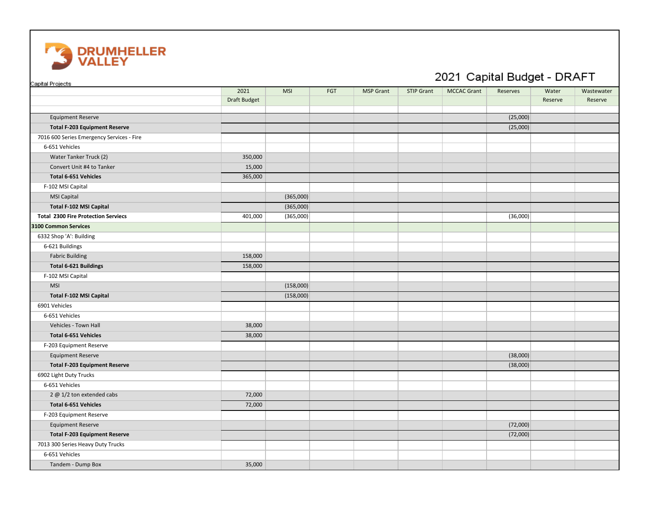

| Capital Projects                           |              |            |     |                  |                   |                    |          |         |            |
|--------------------------------------------|--------------|------------|-----|------------------|-------------------|--------------------|----------|---------|------------|
|                                            | 2021         | <b>MSI</b> | FGT | <b>MSP Grant</b> | <b>STIP Grant</b> | <b>MCCAC Grant</b> | Reserves | Water   | Wastewater |
|                                            | Draft Budget |            |     |                  |                   |                    |          | Reserve | Reserve    |
|                                            |              |            |     |                  |                   |                    |          |         |            |
| <b>Equipment Reserve</b>                   |              |            |     |                  |                   |                    | (25,000) |         |            |
| <b>Total F-203 Equipment Reserve</b>       |              |            |     |                  |                   |                    | (25,000) |         |            |
| 7016 600 Series Emergency Services - Fire  |              |            |     |                  |                   |                    |          |         |            |
| 6-651 Vehicles                             |              |            |     |                  |                   |                    |          |         |            |
| Water Tanker Truck (2)                     | 350,000      |            |     |                  |                   |                    |          |         |            |
| Convert Unit #4 to Tanker                  | 15,000       |            |     |                  |                   |                    |          |         |            |
| Total 6-651 Vehicles                       | 365,000      |            |     |                  |                   |                    |          |         |            |
| F-102 MSI Capital                          |              |            |     |                  |                   |                    |          |         |            |
| MSI Capital                                |              | (365,000)  |     |                  |                   |                    |          |         |            |
| Total F-102 MSI Capital                    |              | (365,000)  |     |                  |                   |                    |          |         |            |
| <b>Total 2300 Fire Protection Serviecs</b> | 401,000      | (365,000)  |     |                  |                   |                    | (36,000) |         |            |
| 3100 Common Services                       |              |            |     |                  |                   |                    |          |         |            |
| 6332 Shop 'A': Building                    |              |            |     |                  |                   |                    |          |         |            |
| 6-621 Buildings                            |              |            |     |                  |                   |                    |          |         |            |
| <b>Fabric Building</b>                     | 158,000      |            |     |                  |                   |                    |          |         |            |
| <b>Total 6-621 Buildings</b>               | 158,000      |            |     |                  |                   |                    |          |         |            |
| F-102 MSI Capital                          |              |            |     |                  |                   |                    |          |         |            |
| <b>MSI</b>                                 |              | (158,000)  |     |                  |                   |                    |          |         |            |
| Total F-102 MSI Capital                    |              | (158,000)  |     |                  |                   |                    |          |         |            |
| 6901 Vehicles                              |              |            |     |                  |                   |                    |          |         |            |
| 6-651 Vehicles                             |              |            |     |                  |                   |                    |          |         |            |
| Vehicles - Town Hall                       | 38,000       |            |     |                  |                   |                    |          |         |            |
| Total 6-651 Vehicles                       | 38,000       |            |     |                  |                   |                    |          |         |            |
| F-203 Equipment Reserve                    |              |            |     |                  |                   |                    |          |         |            |
| <b>Equipment Reserve</b>                   |              |            |     |                  |                   |                    | (38,000) |         |            |
| <b>Total F-203 Equipment Reserve</b>       |              |            |     |                  |                   |                    | (38,000) |         |            |
| 6902 Light Duty Trucks                     |              |            |     |                  |                   |                    |          |         |            |
| 6-651 Vehicles                             |              |            |     |                  |                   |                    |          |         |            |
| 2 @ 1/2 ton extended cabs                  | 72,000       |            |     |                  |                   |                    |          |         |            |
| Total 6-651 Vehicles                       | 72,000       |            |     |                  |                   |                    |          |         |            |
| F-203 Equipment Reserve                    |              |            |     |                  |                   |                    |          |         |            |
| <b>Equipment Reserve</b>                   |              |            |     |                  |                   |                    | (72,000) |         |            |
| <b>Total F-203 Equipment Reserve</b>       |              |            |     |                  |                   |                    | (72,000) |         |            |
| 7013 300 Series Heavy Duty Trucks          |              |            |     |                  |                   |                    |          |         |            |
| 6-651 Vehicles                             |              |            |     |                  |                   |                    |          |         |            |
| Tandem - Dump Box                          | 35,000       |            |     |                  |                   |                    |          |         |            |

## 2021 Capital Budget - DRAFT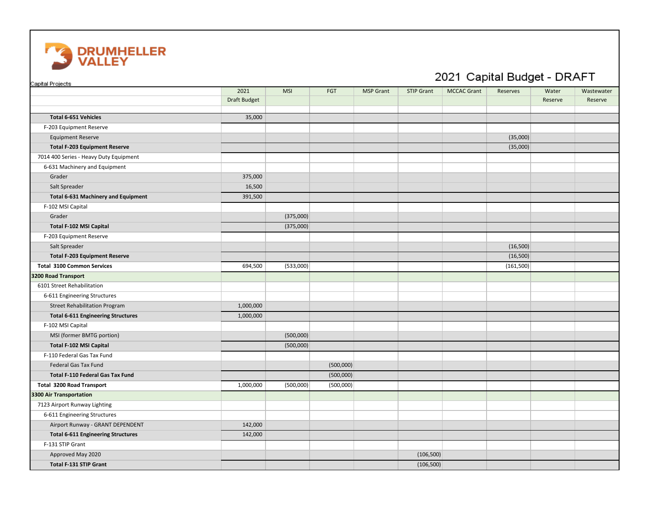

| Capital Projects                           |                     |            |           |                  |                   |                    |            |         |            |
|--------------------------------------------|---------------------|------------|-----------|------------------|-------------------|--------------------|------------|---------|------------|
|                                            | 2021                | <b>MSI</b> | FGT       | <b>MSP Grant</b> | <b>STIP Grant</b> | <b>MCCAC Grant</b> | Reserves   | Water   | Wastewater |
|                                            | <b>Draft Budget</b> |            |           |                  |                   |                    |            | Reserve | Reserve    |
|                                            |                     |            |           |                  |                   |                    |            |         |            |
| Total 6-651 Vehicles                       | 35,000              |            |           |                  |                   |                    |            |         |            |
| F-203 Equipment Reserve                    |                     |            |           |                  |                   |                    |            |         |            |
| <b>Equipment Reserve</b>                   |                     |            |           |                  |                   |                    | (35,000)   |         |            |
| <b>Total F-203 Equipment Reserve</b>       |                     |            |           |                  |                   |                    | (35,000)   |         |            |
| 7014 400 Series - Heavy Duty Equipment     |                     |            |           |                  |                   |                    |            |         |            |
| 6-631 Machinery and Equipment              |                     |            |           |                  |                   |                    |            |         |            |
| Grader                                     | 375,000             |            |           |                  |                   |                    |            |         |            |
| Salt Spreader                              | 16,500              |            |           |                  |                   |                    |            |         |            |
| <b>Total 6-631 Machinery and Equipment</b> | 391,500             |            |           |                  |                   |                    |            |         |            |
| F-102 MSI Capital                          |                     |            |           |                  |                   |                    |            |         |            |
| Grader                                     |                     | (375,000)  |           |                  |                   |                    |            |         |            |
| Total F-102 MSI Capital                    |                     | (375,000)  |           |                  |                   |                    |            |         |            |
| F-203 Equipment Reserve                    |                     |            |           |                  |                   |                    |            |         |            |
| Salt Spreader                              |                     |            |           |                  |                   |                    | (16,500)   |         |            |
| <b>Total F-203 Equipment Reserve</b>       |                     |            |           |                  |                   |                    | (16,500)   |         |            |
| <b>Total 3100 Common Services</b>          | 694,500             | (533,000)  |           |                  |                   |                    | (161, 500) |         |            |
| 3200 Road Transport                        |                     |            |           |                  |                   |                    |            |         |            |
| 6101 Street Rehabilitation                 |                     |            |           |                  |                   |                    |            |         |            |
| 6-611 Engineering Structures               |                     |            |           |                  |                   |                    |            |         |            |
| <b>Street Rehabilitation Program</b>       | 1,000,000           |            |           |                  |                   |                    |            |         |            |
| <b>Total 6-611 Engineering Structures</b>  | 1,000,000           |            |           |                  |                   |                    |            |         |            |
| F-102 MSI Capital                          |                     |            |           |                  |                   |                    |            |         |            |
| MSI (former BMTG portion)                  |                     | (500,000)  |           |                  |                   |                    |            |         |            |
| Total F-102 MSI Capital                    |                     | (500,000)  |           |                  |                   |                    |            |         |            |
| F-110 Federal Gas Tax Fund                 |                     |            |           |                  |                   |                    |            |         |            |
| Federal Gas Tax Fund                       |                     |            | (500,000) |                  |                   |                    |            |         |            |
| Total F-110 Federal Gas Tax Fund           |                     |            | (500,000) |                  |                   |                    |            |         |            |
| <b>Total 3200 Road Transport</b>           | 1,000,000           | (500,000)  | (500,000) |                  |                   |                    |            |         |            |
| 3300 Air Transportation                    |                     |            |           |                  |                   |                    |            |         |            |
| 7123 Airport Runway Lighting               |                     |            |           |                  |                   |                    |            |         |            |
| 6-611 Engineering Structures               |                     |            |           |                  |                   |                    |            |         |            |
| Airport Runway - GRANT DEPENDENT           | 142,000             |            |           |                  |                   |                    |            |         |            |
| <b>Total 6-611 Engineering Structures</b>  | 142,000             |            |           |                  |                   |                    |            |         |            |
| F-131 STIP Grant                           |                     |            |           |                  |                   |                    |            |         |            |
| Approved May 2020                          |                     |            |           |                  | (106, 500)        |                    |            |         |            |
| <b>Total F-131 STIP Grant</b>              |                     |            |           |                  | (106, 500)        |                    |            |         |            |

## 2021 Capital Budget - DRAFT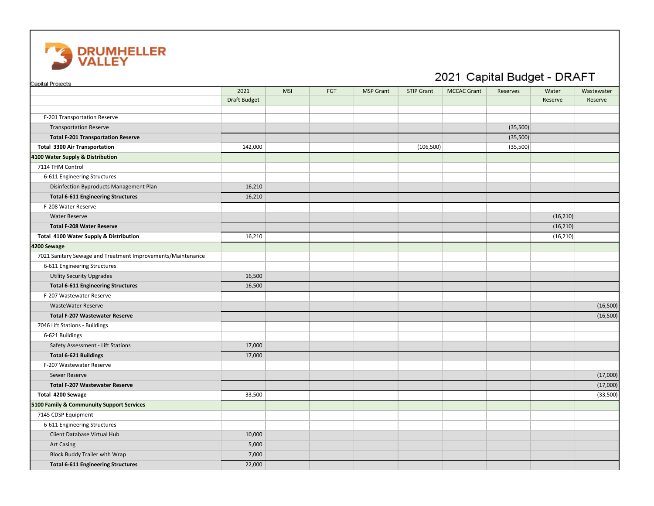

| Capital Projects                                            |                                                                                                                             |  |  |  |            | 2021 Capital Budget - DRAFT |          |           |          |
|-------------------------------------------------------------|-----------------------------------------------------------------------------------------------------------------------------|--|--|--|------------|-----------------------------|----------|-----------|----------|
|                                                             | 2021<br><b>MSI</b><br>FGT<br><b>MSP Grant</b><br><b>STIP Grant</b><br><b>MCCAC Grant</b><br>Reserves<br>Water<br>Wastewater |  |  |  |            |                             |          |           |          |
|                                                             | <b>Draft Budget</b>                                                                                                         |  |  |  |            |                             |          | Reserve   | Reserve  |
| F-201 Transportation Reserve                                |                                                                                                                             |  |  |  |            |                             |          |           |          |
| <b>Transportation Reserve</b>                               |                                                                                                                             |  |  |  |            |                             | (35,500) |           |          |
| <b>Total F-201 Transportation Reserve</b>                   |                                                                                                                             |  |  |  |            |                             | (35,500) |           |          |
| <b>Total 3300 Air Transportation</b>                        | 142,000                                                                                                                     |  |  |  | (106, 500) |                             | (35,500) |           |          |
| 4100 Water Supply & Distribution                            |                                                                                                                             |  |  |  |            |                             |          |           |          |
| 7114 THM Control                                            |                                                                                                                             |  |  |  |            |                             |          |           |          |
| 6-611 Engineering Structures                                |                                                                                                                             |  |  |  |            |                             |          |           |          |
| Disinfection Byproducts Management Plan                     | 16,210                                                                                                                      |  |  |  |            |                             |          |           |          |
| <b>Total 6-611 Engineering Structures</b>                   | 16,210                                                                                                                      |  |  |  |            |                             |          |           |          |
| F-208 Water Reserve                                         |                                                                                                                             |  |  |  |            |                             |          |           |          |
| <b>Water Reserve</b>                                        |                                                                                                                             |  |  |  |            |                             |          | (16, 210) |          |
| <b>Total F-208 Water Reserve</b>                            |                                                                                                                             |  |  |  |            |                             |          | (16, 210) |          |
| Total 4100 Water Supply & Distribution                      | 16,210                                                                                                                      |  |  |  |            |                             |          | (16, 210) |          |
| 4200 Sewage                                                 |                                                                                                                             |  |  |  |            |                             |          |           |          |
| 7021 Sanitary Sewage and Treatment Improvements/Maintenance |                                                                                                                             |  |  |  |            |                             |          |           |          |
| 6-611 Engineering Structures                                |                                                                                                                             |  |  |  |            |                             |          |           |          |
| <b>Utility Security Upgrades</b>                            | 16,500                                                                                                                      |  |  |  |            |                             |          |           |          |
| <b>Total 6-611 Engineering Structures</b>                   | 16,500                                                                                                                      |  |  |  |            |                             |          |           |          |
| F-207 Wastewater Reserve                                    |                                                                                                                             |  |  |  |            |                             |          |           |          |
| <b>WasteWater Reserve</b>                                   |                                                                                                                             |  |  |  |            |                             |          |           | (16,500) |
| <b>Total F-207 Wastewater Reserve</b>                       |                                                                                                                             |  |  |  |            |                             |          |           | (16,500) |
| 7046 Lift Stations - Buildings                              |                                                                                                                             |  |  |  |            |                             |          |           |          |
| 6-621 Buildings                                             |                                                                                                                             |  |  |  |            |                             |          |           |          |
| Safety Assessment - Lift Stations                           | 17,000                                                                                                                      |  |  |  |            |                             |          |           |          |
| <b>Total 6-621 Buildings</b>                                | 17,000                                                                                                                      |  |  |  |            |                             |          |           |          |
| F-207 Wastewater Reserve                                    |                                                                                                                             |  |  |  |            |                             |          |           |          |
| Sewer Reserve                                               |                                                                                                                             |  |  |  |            |                             |          |           | (17,000) |
| <b>Total F-207 Wastewater Reserve</b>                       |                                                                                                                             |  |  |  |            |                             |          |           | (17,000) |
| Total 4200 Sewage                                           | 33,500                                                                                                                      |  |  |  |            |                             |          |           | (33,500) |
| 5100 Family & Communuity Support Services                   |                                                                                                                             |  |  |  |            |                             |          |           |          |
| 7145 CDSP Equipment                                         |                                                                                                                             |  |  |  |            |                             |          |           |          |
| 6-611 Engineering Structures                                |                                                                                                                             |  |  |  |            |                             |          |           |          |
| Client Database Virtual Hub                                 | 10,000                                                                                                                      |  |  |  |            |                             |          |           |          |
| <b>Art Casing</b>                                           | 5,000                                                                                                                       |  |  |  |            |                             |          |           |          |
| <b>Block Buddy Trailer with Wrap</b>                        | 7,000                                                                                                                       |  |  |  |            |                             |          |           |          |
| <b>Total 6-611 Engineering Structures</b>                   | 22,000                                                                                                                      |  |  |  |            |                             |          |           |          |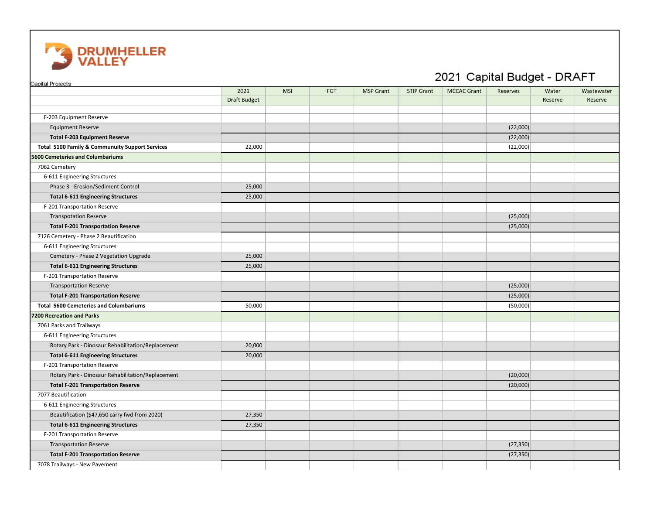

| Capital Projects                                  |                     |            |     |                  |                   | 2021 Capital Budget - DRAFT |           |         |            |
|---------------------------------------------------|---------------------|------------|-----|------------------|-------------------|-----------------------------|-----------|---------|------------|
|                                                   | 2021                | <b>MSI</b> | FGT | <b>MSP Grant</b> | <b>STIP Grant</b> | <b>MCCAC Grant</b>          | Reserves  | Water   | Wastewater |
|                                                   | <b>Draft Budget</b> |            |     |                  |                   |                             |           | Reserve | Reserve    |
| F-203 Equipment Reserve                           |                     |            |     |                  |                   |                             |           |         |            |
| <b>Equipment Reserve</b>                          |                     |            |     |                  |                   |                             | (22,000)  |         |            |
| <b>Total F-203 Equipment Reserve</b>              |                     |            |     |                  |                   |                             | (22,000)  |         |            |
| Total 5100 Family & Communuity Support Services   | 22,000              |            |     |                  |                   |                             | (22,000)  |         |            |
| 5600 Cemeteries and Columbariums                  |                     |            |     |                  |                   |                             |           |         |            |
| 7062 Cemetery                                     |                     |            |     |                  |                   |                             |           |         |            |
| 6-611 Engineering Structures                      |                     |            |     |                  |                   |                             |           |         |            |
| Phase 3 - Erosion/Sediment Control                | 25,000              |            |     |                  |                   |                             |           |         |            |
| <b>Total 6-611 Engineering Structures</b>         | 25,000              |            |     |                  |                   |                             |           |         |            |
| F-201 Transportation Reserve                      |                     |            |     |                  |                   |                             |           |         |            |
| <b>Transpotation Reserve</b>                      |                     |            |     |                  |                   |                             | (25,000)  |         |            |
| <b>Total F-201 Transportation Reserve</b>         |                     |            |     |                  |                   |                             | (25,000)  |         |            |
| 7126 Cemetery - Phase 2 Beautification            |                     |            |     |                  |                   |                             |           |         |            |
| 6-611 Engineering Structures                      |                     |            |     |                  |                   |                             |           |         |            |
| Cemetery - Phase 2 Vegetation Upgrade             | 25,000              |            |     |                  |                   |                             |           |         |            |
| <b>Total 6-611 Engineering Structures</b>         | 25,000              |            |     |                  |                   |                             |           |         |            |
| F-201 Transportation Reserve                      |                     |            |     |                  |                   |                             |           |         |            |
| <b>Transportation Reserve</b>                     |                     |            |     |                  |                   |                             | (25,000)  |         |            |
| <b>Total F-201 Transportation Reserve</b>         |                     |            |     |                  |                   |                             | (25,000)  |         |            |
| <b>Total 5600 Cemeteries and Columbariums</b>     | 50,000              |            |     |                  |                   |                             | (50,000)  |         |            |
| 7200 Recreation and Parks                         |                     |            |     |                  |                   |                             |           |         |            |
| 7061 Parks and Trailways                          |                     |            |     |                  |                   |                             |           |         |            |
| 6-611 Engineering Structures                      |                     |            |     |                  |                   |                             |           |         |            |
| Rotary Park - Dinosaur Rehabilitation/Replacement | 20,000              |            |     |                  |                   |                             |           |         |            |
| <b>Total 6-611 Engineering Structures</b>         | 20,000              |            |     |                  |                   |                             |           |         |            |
| F-201 Transportation Reserve                      |                     |            |     |                  |                   |                             |           |         |            |
| Rotary Park - Dinosaur Rehabilitation/Replacement |                     |            |     |                  |                   |                             | (20,000)  |         |            |
| <b>Total F-201 Transportation Reserve</b>         |                     |            |     |                  |                   |                             | (20,000)  |         |            |
| 7077 Beautification                               |                     |            |     |                  |                   |                             |           |         |            |
| 6-611 Engineering Structures                      |                     |            |     |                  |                   |                             |           |         |            |
| Beautification (\$47,650 carry fwd from 2020)     | 27,350              |            |     |                  |                   |                             |           |         |            |
| <b>Total 6-611 Engineering Structures</b>         | 27,350              |            |     |                  |                   |                             |           |         |            |
| F-201 Transportation Reserve                      |                     |            |     |                  |                   |                             |           |         |            |
| <b>Transportation Reserve</b>                     |                     |            |     |                  |                   |                             | (27, 350) |         |            |
| <b>Total F-201 Transportation Reserve</b>         |                     |            |     |                  |                   |                             | (27, 350) |         |            |
| 7078 Trailways - New Pavement                     |                     |            |     |                  |                   |                             |           |         |            |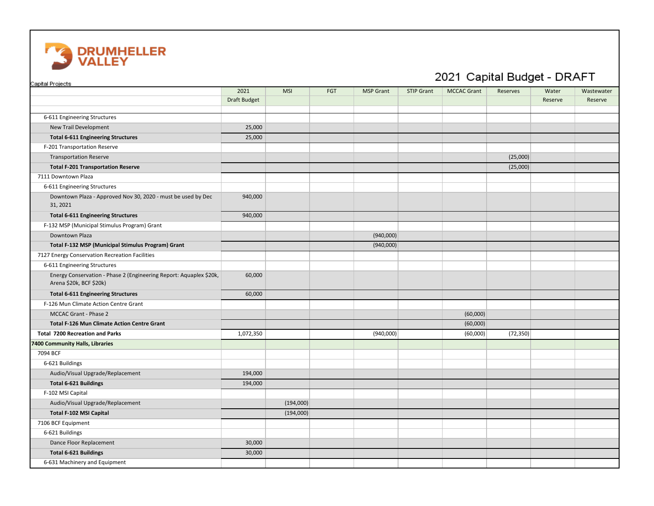

## Capital Projects 2021 | MSI | FGT | MSP Grant | STIP Grant | MCCAC Grant | Reserves | Water | Wastewater Draft Budget | Reserve | Reserve | Reserve | Reserve | Reserve | Reserve | Reserve 6-611 Engineering Structures New Trail Development 25,000 **Total 6-611 Engineering Structures** 25,000 F-201 Transportation Reserve Transportation Reserve (25,000) **Total F-201 Transportation Reserve** (25,000) 7111 Downtown Plaza 6-611 Engineering Structures Downtown Plaza - Approved Nov 30, 2020 - must be used by Dec 940,000 31, 2021 **Total 6-611 Engineering Structures** 8 and 8 and 8 and 940,000 F-132 MSP (Municipal Stimulus Program) Grant Downtown Plaza (940,000) **Total F-132 MSP (Municipal Stimulus Program) Grant** (940,000) 7127 Energy Conservation Recreation Facilities 6-611 Engineering Structures Energy Conservation - Phase 2 (Engineering Report: Aquaplex \$20k, 60,000 Arena \$20k, BCF \$20k) **Total 6-611 Engineering Structures** 60,000 F-126 Mun Climate Action Centre Grant MCCAC Grant - Phase 2 (60,000) **Total F-126 Mun Climate Action Centre Grant** (60,000) **Total 7200 Recreation and Parks** (92,350) **1,072,350 (940,000)** (72,350 (60,000) (72,350) (72,350) **7400 Community Halls, Libraries** 7094 BCF 6-621 Buildings Audio/Visual Upgrade/Replacement 194,000 **Total 6-621 Buildings** 194,000 F-102 MSI Capital Audio/Visual Upgrade/Replacement (194,000) (194,000) **Total F-102 MSI Capital** (194,000) 7106 BCF Equipment 6-621 Buildings Dance Floor Replacement 30,000 **Total 6-621 Buildings** 30,000 6-631 Machinery and Equipment

## 2021 Capital Budget - DRAFT